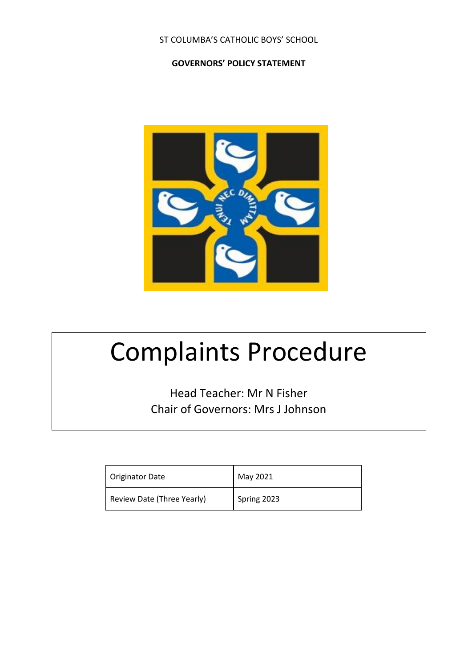## ST COLUMBA'S CATHOLIC BOYS' SCHOOL

#### **GOVERNORS' POLICY STATEMENT**



# Complaints Procedure

Head Teacher: Mr N Fisher Chair of Governors: Mrs J Johnson

| <b>Originator Date</b>     | May 2021    |
|----------------------------|-------------|
| Review Date (Three Yearly) | Spring 2023 |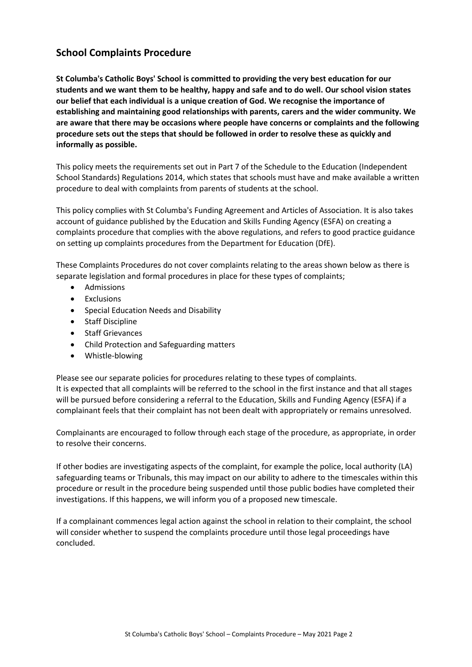## **School Complaints Procedure**

**St Columba's Catholic Boys' School is committed to providing the very best education for our students and we want them to be healthy, happy and safe and to do well. Our school vision states our belief that each individual is a unique creation of God. We recognise the importance of establishing and maintaining good relationships with parents, carers and the wider community. We are aware that there may be occasions where people have concerns or complaints and the following procedure sets out the steps that should be followed in order to resolve these as quickly and informally as possible.** 

This policy meets the requirements set out in Part 7 of the Schedule to the Education (Independent School Standards) Regulations 2014, which states that schools must have and make available a written procedure to deal with complaints from parents of students at the school.

This policy complies with St Columba's Funding Agreement and Articles of Association. It is also takes account of guidance published by the Education and Skills Funding Agency (ESFA) on creating a complaints procedure that complies with the above regulations, and refers to good practice guidance on setting up complaints procedures from the Department for Education (DfE).

These Complaints Procedures do not cover complaints relating to the areas shown below as there is separate legislation and formal procedures in place for these types of complaints;

- Admissions
- Exclusions
- Special Education Needs and Disability
- Staff Discipline
- Staff Grievances
- Child Protection and Safeguarding matters
- Whistle-blowing

Please see our separate policies for procedures relating to these types of complaints. It is expected that all complaints will be referred to the school in the first instance and that all stages will be pursued before considering a referral to the Education, Skills and Funding Agency (ESFA) if a complainant feels that their complaint has not been dealt with appropriately or remains unresolved.

Complainants are encouraged to follow through each stage of the procedure, as appropriate, in order to resolve their concerns.

If other bodies are investigating aspects of the complaint, for example the police, local authority (LA) safeguarding teams or Tribunals, this may impact on our ability to adhere to the timescales within this procedure or result in the procedure being suspended until those public bodies have completed their investigations. If this happens, we will inform you of a proposed new timescale.

If a complainant commences legal action against the school in relation to their complaint, the school will consider whether to suspend the complaints procedure until those legal proceedings have concluded.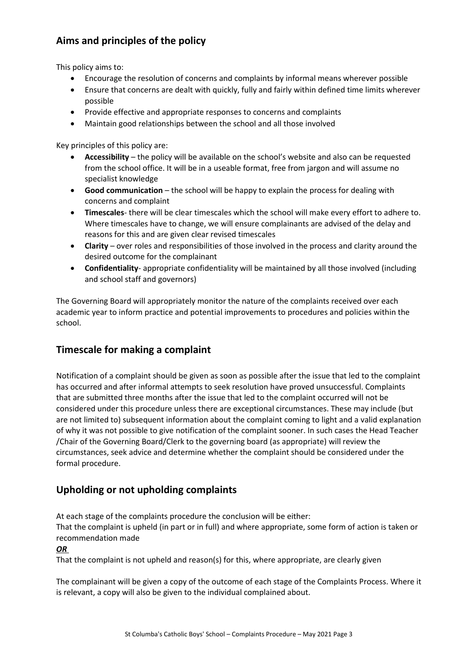# **Aims and principles of the policy**

This policy aims to:

- Encourage the resolution of concerns and complaints by informal means wherever possible
- Ensure that concerns are dealt with quickly, fully and fairly within defined time limits wherever possible
- Provide effective and appropriate responses to concerns and complaints
- Maintain good relationships between the school and all those involved

Key principles of this policy are:

- **Accessibility**  the policy will be available on the school's website and also can be requested from the school office. It will be in a useable format, free from jargon and will assume no specialist knowledge
- **Good communication** the school will be happy to explain the process for dealing with concerns and complaint
- **Timescales** there will be clear timescales which the school will make every effort to adhere to. Where timescales have to change, we will ensure complainants are advised of the delay and reasons for this and are given clear revised timescales
- **Clarity**  over roles and responsibilities of those involved in the process and clarity around the desired outcome for the complainant
- **Confidentiality** appropriate confidentiality will be maintained by all those involved (including and school staff and governors)

The Governing Board will appropriately monitor the nature of the complaints received over each academic year to inform practice and potential improvements to procedures and policies within the school.

## **Timescale for making a complaint**

Notification of a complaint should be given as soon as possible after the issue that led to the complaint has occurred and after informal attempts to seek resolution have proved unsuccessful. Complaints that are submitted three months after the issue that led to the complaint occurred will not be considered under this procedure unless there are exceptional circumstances. These may include (but are not limited to) subsequent information about the complaint coming to light and a valid explanation of why it was not possible to give notification of the complaint sooner. In such cases the Head Teacher /Chair of the Governing Board/Clerk to the governing board (as appropriate) will review the circumstances, seek advice and determine whether the complaint should be considered under the formal procedure.

# **Upholding or not upholding complaints**

At each stage of the complaints procedure the conclusion will be either: That the complaint is upheld (in part or in full) and where appropriate, some form of action is taken or recommendation made

#### *OR*

That the complaint is not upheld and reason(s) for this, where appropriate, are clearly given

The complainant will be given a copy of the outcome of each stage of the Complaints Process. Where it is relevant, a copy will also be given to the individual complained about.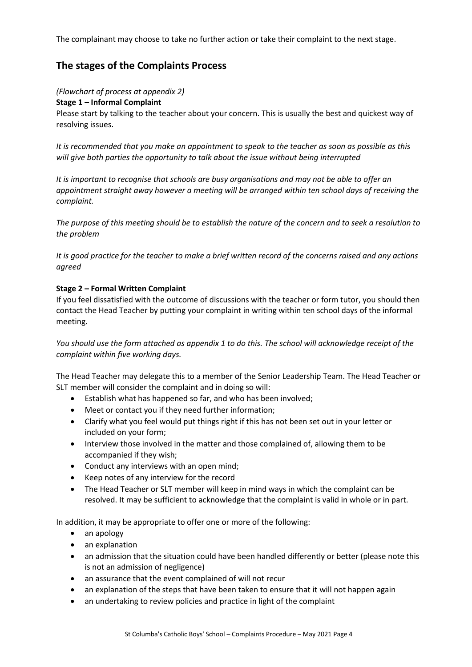The complainant may choose to take no further action or take their complaint to the next stage.

## **The stages of the Complaints Process**

#### *(Flowchart of process at appendix 2)*

#### **Stage 1 – Informal Complaint**

Please start by talking to the teacher about your concern. This is usually the best and quickest way of resolving issues.

*It is recommended that you make an appointment to speak to the teacher as soon as possible as this will give both parties the opportunity to talk about the issue without being interrupted* 

*It is important to recognise that schools are busy organisations and may not be able to offer an appointment straight away however a meeting will be arranged within ten school days of receiving the complaint.*

*The purpose of this meeting should be to establish the nature of the concern and to seek a resolution to the problem* 

*It is good practice for the teacher to make a brief written record of the concerns raised and any actions agreed* 

#### **Stage 2 – Formal Written Complaint**

If you feel dissatisfied with the outcome of discussions with the teacher or form tutor, you should then contact the Head Teacher by putting your complaint in writing within ten school days of the informal meeting.

*You should use the form attached as appendix 1 to do this. The school will acknowledge receipt of the complaint within five working days.*

The Head Teacher may delegate this to a member of the Senior Leadership Team. The Head Teacher or SLT member will consider the complaint and in doing so will:

- Establish what has happened so far, and who has been involved;
- Meet or contact you if they need further information;
- Clarify what you feel would put things right if this has not been set out in your letter or included on your form;
- Interview those involved in the matter and those complained of, allowing them to be accompanied if they wish;
- Conduct any interviews with an open mind;
- Keep notes of any interview for the record
- The Head Teacher or SLT member will keep in mind ways in which the complaint can be resolved. It may be sufficient to acknowledge that the complaint is valid in whole or in part.

In addition, it may be appropriate to offer one or more of the following:

- an apology
- an explanation
- an admission that the situation could have been handled differently or better (please note this is not an admission of negligence)
- an assurance that the event complained of will not recur
- an explanation of the steps that have been taken to ensure that it will not happen again
- an undertaking to review policies and practice in light of the complaint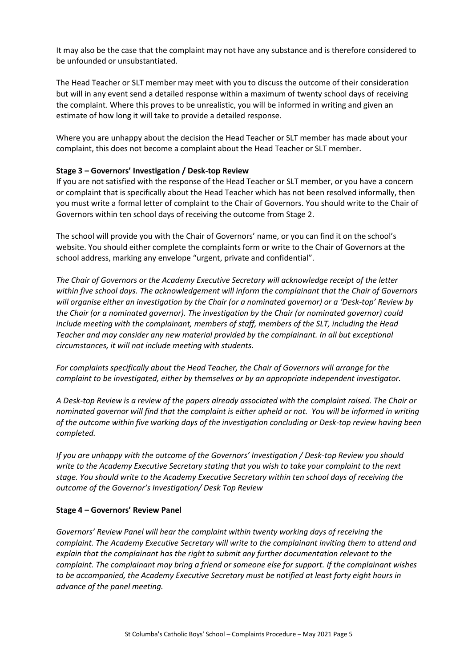It may also be the case that the complaint may not have any substance and is therefore considered to be unfounded or unsubstantiated.

The Head Teacher or SLT member may meet with you to discuss the outcome of their consideration but will in any event send a detailed response within a maximum of twenty school days of receiving the complaint. Where this proves to be unrealistic, you will be informed in writing and given an estimate of how long it will take to provide a detailed response.

Where you are unhappy about the decision the Head Teacher or SLT member has made about your complaint, this does not become a complaint about the Head Teacher or SLT member.

#### **Stage 3 – Governors' Investigation / Desk-top Review**

If you are not satisfied with the response of the Head Teacher or SLT member, or you have a concern or complaint that is specifically about the Head Teacher which has not been resolved informally, then you must write a formal letter of complaint to the Chair of Governors. You should write to the Chair of Governors within ten school days of receiving the outcome from Stage 2.

The school will provide you with the Chair of Governors' name, or you can find it on the school's website. You should either complete the complaints form or write to the Chair of Governors at the school address, marking any envelope "urgent, private and confidential".

*The Chair of Governors or the Academy Executive Secretary will acknowledge receipt of the letter within five school days. The acknowledgement will inform the complainant that the Chair of Governors will organise either an investigation by the Chair (or a nominated governor) or a 'Desk-top' Review by the Chair (or a nominated governor). The investigation by the Chair (or nominated governor) could include meeting with the complainant, members of staff, members of the SLT, including the Head Teacher and may consider any new material provided by the complainant. In all but exceptional circumstances, it will not include meeting with students.*

*For complaints specifically about the Head Teacher, the Chair of Governors will arrange for the complaint to be investigated, either by themselves or by an appropriate independent investigator.* 

*A Desk-top Review is a review of the papers already associated with the complaint raised. The Chair or nominated governor will find that the complaint is either upheld or not. You will be informed in writing of the outcome within five working days of the investigation concluding or Desk-top review having been completed.*

*If you are unhappy with the outcome of the Governors' Investigation / Desk-top Review you should write to the Academy Executive Secretary stating that you wish to take your complaint to the next stage. You should write to the Academy Executive Secretary within ten school days of receiving the outcome of the Governor's Investigation/ Desk Top Review*

#### **Stage 4 – Governors' Review Panel**

*Governors' Review Panel will hear the complaint within twenty working days of receiving the complaint. The Academy Executive Secretary will write to the complainant inviting them to attend and explain that the complainant has the right to submit any further documentation relevant to the complaint. The complainant may bring a friend or someone else for support. If the complainant wishes to be accompanied, the Academy Executive Secretary must be notified at least forty eight hours in advance of the panel meeting.*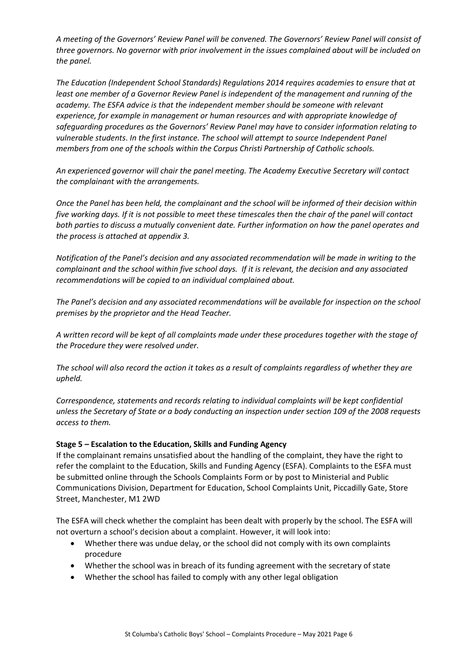*A meeting of the Governors' Review Panel will be convened. The Governors' Review Panel will consist of three governors. No governor with prior involvement in the issues complained about will be included on the panel.*

*The Education (Independent School Standards) Regulations 2014 requires academies to ensure that at least one member of a Governor Review Panel is independent of the management and running of the academy. The ESFA advice is that the independent member should be someone with relevant experience, for example in management or human resources and with appropriate knowledge of safeguarding procedures as the Governors' Review Panel may have to consider information relating to vulnerable students*. *In the first instance. The school will attempt to source Independent Panel members from one of the schools within the Corpus Christi Partnership of Catholic schools.*

*An experienced governor will chair the panel meeting. The Academy Executive Secretary will contact the complainant with the arrangements.* 

*Once the Panel has been held, the complainant and the school will be informed of their decision within five working days. If it is not possible to meet these timescales then the chair of the panel will contact both parties to discuss a mutually convenient date. Further information on how the panel operates and the process is attached at appendix 3.*

*Notification of the Panel's decision and any associated recommendation will be made in writing to the complainant and the school within five school days. If it is relevant, the decision and any associated recommendations will be copied to an individual complained about.*

*The Panel's decision and any associated recommendations will be available for inspection on the school premises by the proprietor and the Head Teacher.*

*A written record will be kept of all complaints made under these procedures together with the stage of the Procedure they were resolved under.*

*The school will also record the action it takes as a result of complaints regardless of whether they are upheld.*

*Correspondence, statements and records relating to individual complaints will be kept confidential unless the Secretary of State or a body conducting an inspection under section 109 of the 2008 requests access to them.*

#### **Stage 5 – Escalation to the Education, Skills and Funding Agency**

If the complainant remains unsatisfied about the handling of the complaint, they have the right to refer the complaint to the Education, Skills and Funding Agency (ESFA). Complaints to the ESFA must be submitted online through the Schools Complaints Form or by post to Ministerial and Public Communications Division, Department for Education, School Complaints Unit, Piccadilly Gate, Store Street, Manchester, M1 2WD

The ESFA will check whether the complaint has been dealt with properly by the school. The ESFA will not overturn a school's decision about a complaint. However, it will look into:

- Whether there was undue delay, or the school did not comply with its own complaints procedure
- Whether the school was in breach of its funding agreement with the secretary of state
- Whether the school has failed to comply with any other legal obligation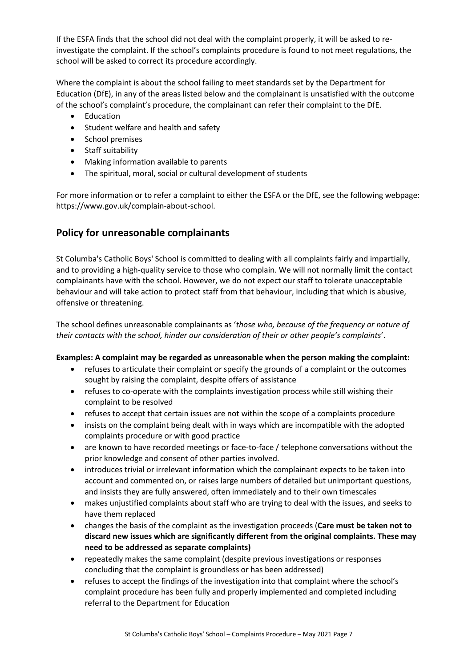If the ESFA finds that the school did not deal with the complaint properly, it will be asked to reinvestigate the complaint. If the school's complaints procedure is found to not meet regulations, the school will be asked to correct its procedure accordingly.

Where the complaint is about the school failing to meet standards set by the Department for Education (DfE), in any of the areas listed below and the complainant is unsatisfied with the outcome of the school's complaint's procedure, the complainant can refer their complaint to the DfE.

- Education
- Student welfare and health and safety
- School premises
- Staff suitability
- Making information available to parents
- The spiritual, moral, social or cultural development of students

For more information or to refer a complaint to either the ESFA or the DfE, see the following webpage: https://www.gov.uk/complain-about-school.

## **Policy for unreasonable complainants**

St Columba's Catholic Boys' School is committed to dealing with all complaints fairly and impartially, and to providing a high-quality service to those who complain. We will not normally limit the contact complainants have with the school. However, we do not expect our staff to tolerate unacceptable behaviour and will take action to protect staff from that behaviour, including that which is abusive, offensive or threatening.

The school defines unreasonable complainants as '*those who, because of the frequency or nature of their contacts with the school, hinder our consideration of their or other people's complaints*'.

#### **Examples: A complaint may be regarded as unreasonable when the person making the complaint:**

- refuses to articulate their complaint or specify the grounds of a complaint or the outcomes sought by raising the complaint, despite offers of assistance
- refuses to co-operate with the complaints investigation process while still wishing their complaint to be resolved
- refuses to accept that certain issues are not within the scope of a complaints procedure
- insists on the complaint being dealt with in ways which are incompatible with the adopted complaints procedure or with good practice
- are known to have recorded meetings or face-to-face / telephone conversations without the prior knowledge and consent of other parties involved.
- introduces trivial or irrelevant information which the complainant expects to be taken into account and commented on, or raises large numbers of detailed but unimportant questions, and insists they are fully answered, often immediately and to their own timescales
- makes unjustified complaints about staff who are trying to deal with the issues, and seeks to have them replaced
- changes the basis of the complaint as the investigation proceeds (**Care must be taken not to discard new issues which are significantly different from the original complaints. These may need to be addressed as separate complaints)**
- repeatedly makes the same complaint (despite previous investigations or responses concluding that the complaint is groundless or has been addressed)
- refuses to accept the findings of the investigation into that complaint where the school's complaint procedure has been fully and properly implemented and completed including referral to the Department for Education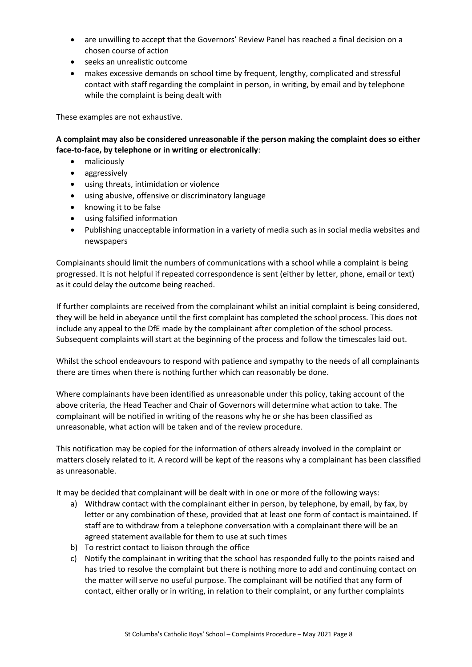- are unwilling to accept that the Governors' Review Panel has reached a final decision on a chosen course of action
- seeks an unrealistic outcome
- makes excessive demands on school time by frequent, lengthy, complicated and stressful contact with staff regarding the complaint in person, in writing, by email and by telephone while the complaint is being dealt with

These examples are not exhaustive.

**A complaint may also be considered unreasonable if the person making the complaint does so either face-to-face, by telephone or in writing or electronically**:

- maliciously
- aggressively
- using threats, intimidation or violence
- using abusive, offensive or discriminatory language
- knowing it to be false
- using falsified information
- Publishing unacceptable information in a variety of media such as in social media websites and newspapers

Complainants should limit the numbers of communications with a school while a complaint is being progressed. It is not helpful if repeated correspondence is sent (either by letter, phone, email or text) as it could delay the outcome being reached.

If further complaints are received from the complainant whilst an initial complaint is being considered, they will be held in abeyance until the first complaint has completed the school process. This does not include any appeal to the DfE made by the complainant after completion of the school process. Subsequent complaints will start at the beginning of the process and follow the timescales laid out.

Whilst the school endeavours to respond with patience and sympathy to the needs of all complainants there are times when there is nothing further which can reasonably be done.

Where complainants have been identified as unreasonable under this policy, taking account of the above criteria, the Head Teacher and Chair of Governors will determine what action to take. The complainant will be notified in writing of the reasons why he or she has been classified as unreasonable, what action will be taken and of the review procedure.

This notification may be copied for the information of others already involved in the complaint or matters closely related to it. A record will be kept of the reasons why a complainant has been classified as unreasonable.

It may be decided that complainant will be dealt with in one or more of the following ways:

- a) Withdraw contact with the complainant either in person, by telephone, by email, by fax, by letter or any combination of these, provided that at least one form of contact is maintained. If staff are to withdraw from a telephone conversation with a complainant there will be an agreed statement available for them to use at such times
- b) To restrict contact to liaison through the office
- c) Notify the complainant in writing that the school has responded fully to the points raised and has tried to resolve the complaint but there is nothing more to add and continuing contact on the matter will serve no useful purpose. The complainant will be notified that any form of contact, either orally or in writing, in relation to their complaint, or any further complaints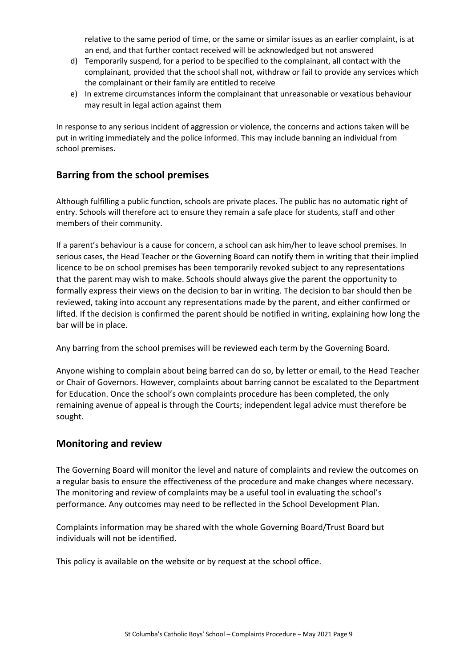relative to the same period of time, or the same or similar issues as an earlier complaint, is at an end, and that further contact received will be acknowledged but not answered

- d) Temporarily suspend, for a period to be specified to the complainant, all contact with the complainant, provided that the school shall not, withdraw or fail to provide any services which the complainant or their family are entitled to receive
- e) In extreme circumstances inform the complainant that unreasonable or vexatious behaviour may result in legal action against them

In response to any serious incident of aggression or violence, the concerns and actions taken will be put in writing immediately and the police informed. This may include banning an individual from school premises.

## **Barring from the school premises**

Although fulfilling a public function, schools are private places. The public has no automatic right of entry. Schools will therefore act to ensure they remain a safe place for students, staff and other members of their community.

If a parent's behaviour is a cause for concern, a school can ask him/her to leave school premises. In serious cases, the Head Teacher or the Governing Board can notify them in writing that their implied licence to be on school premises has been temporarily revoked subject to any representations that the parent may wish to make. Schools should always give the parent the opportunity to formally express their views on the decision to bar in writing. The decision to bar should then be reviewed, taking into account any representations made by the parent, and either confirmed or lifted. If the decision is confirmed the parent should be notified in writing, explaining how long the bar will be in place.

Any barring from the school premises will be reviewed each term by the Governing Board.

Anyone wishing to complain about being barred can do so, by letter or email, to the Head Teacher or Chair of Governors. However, complaints about barring cannot be escalated to the Department for Education. Once the school's own complaints procedure has been completed, the only remaining avenue of appeal is through the Courts; independent legal advice must therefore be sought.

### **Monitoring and review**

The Governing Board will monitor the level and nature of complaints and review the outcomes on a regular basis to ensure the effectiveness of the procedure and make changes where necessary. The monitoring and review of complaints may be a useful tool in evaluating the school's performance. Any outcomes may need to be reflected in the School Development Plan.

Complaints information may be shared with the whole Governing Board/Trust Board but individuals will not be identified.

This policy is available on the website or by request at the school office.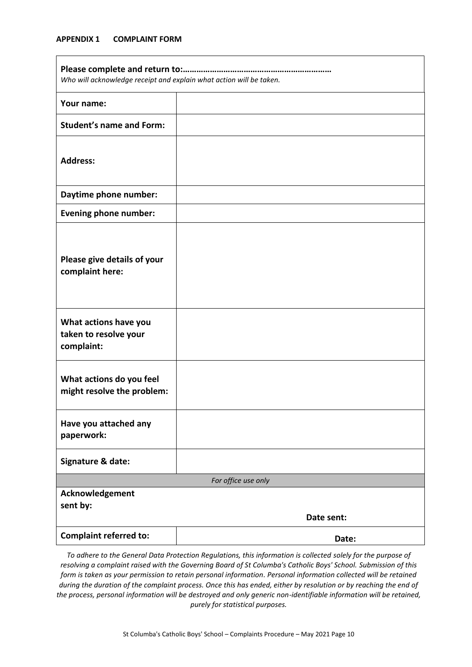#### **APPENDIX 1 COMPLAINT FORM**

| Who will acknowledge receipt and explain what action will be taken. |            |
|---------------------------------------------------------------------|------------|
| Your name:                                                          |            |
| <b>Student's name and Form:</b>                                     |            |
| <b>Address:</b>                                                     |            |
| Daytime phone number:                                               |            |
| <b>Evening phone number:</b>                                        |            |
| Please give details of your<br>complaint here:                      |            |
| What actions have you<br>taken to resolve your<br>complaint:        |            |
| What actions do you feel<br>might resolve the problem:              |            |
| Have you attached any<br>paperwork:                                 |            |
| Signature & date:                                                   |            |
| For office use only                                                 |            |
| Acknowledgement<br>sent by:                                         | Date sent: |
| <b>Complaint referred to:</b>                                       | Date:      |

*To adhere to the General Data Protection Regulations, this information is collected solely for the purpose of resolving a complaint raised with the Governing Board of St Columba's Catholic Boys' School. Submission of this form is taken as your permission to retain personal information. Personal information collected will be retained during the duration of the complaint process. Once this has ended, either by resolution or by reaching the end of the process, personal information will be destroyed and only generic non-identifiable information will be retained, purely for statistical purposes.*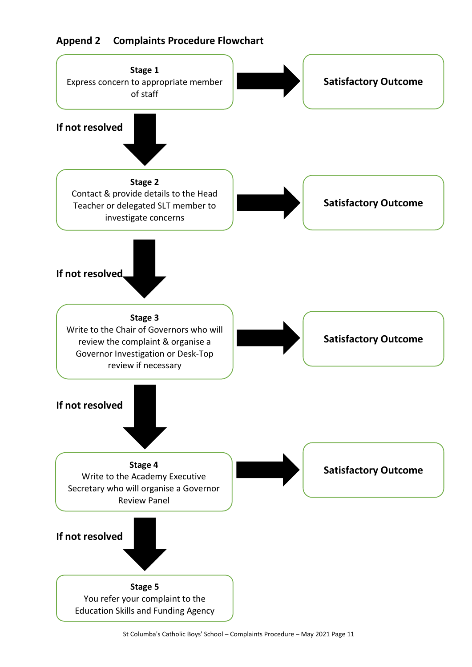# **Append 2 Complaints Procedure Flowchart**